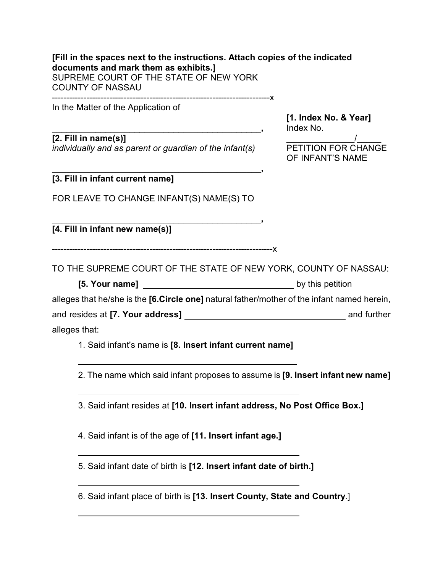## **[Fill in the spaces next to the instructions. Attach copies of the indicated documents and mark them as exhibits.]** SUPREME COURT OF THE STATE OF NEW YORK COUNTY OF NASSAU ----------------------------------------------------------------------------x

In the Matter of the Application of

## **[2. Fill in name(s)]** \_\_\_\_\_\_\_\_\_\_\_\_\_\_/\_\_\_\_\_

*individually and as parent or guardian of the infant(s)* PETITION FOR CHANGE

\_\_\_\_\_\_\_\_\_\_\_\_\_\_\_\_\_\_\_\_\_\_\_\_\_\_\_\_\_\_\_\_\_\_\_\_\_\_\_\_\_\_\_**,** Index No.

**[1. Index No. & Year]**

OF INFANT'S NAME

#### \_\_\_\_\_\_\_\_\_\_\_\_\_\_\_\_\_\_\_\_\_\_\_\_\_\_\_\_\_\_\_\_\_\_\_\_\_\_\_\_\_\_\_**, [3. Fill in infant current name]**

FOR LEAVE TO CHANGE INFANT(S) NAME(S) TO

\_\_\_\_\_\_\_\_\_\_\_\_\_\_\_\_\_\_\_\_\_\_\_\_\_\_\_\_\_\_\_\_\_\_\_\_\_\_\_\_\_\_\_**,**

**[4. Fill in infant new name(s)]** 

-----------------------------------------------------------------------------x

TO THE SUPREME COURT OF THE STATE OF NEW YORK, COUNTY OF NASSAU:

**[5. Your name]** by this petition

alleges that he/she is the **[6.Circle one]** natural father/mother of the infant named herein,

and resides at **[7. Your address]** and further

# alleges that:

l

l

l

 $\overline{a}$ 

 $\overline{a}$ 

l

1. Said infant's name is **[8. Insert infant current name]** 

2. The name which said infant proposes to assume is **[9. Insert infant new name]**

3. Said infant resides at **[10. Insert infant address, No Post Office Box.]**

4. Said infant is of the age of **[11. Insert infant age.]** 

5. Said infant date of birth is **[12. Insert infant date of birth.]**

6. Said infant place of birth is **[13. Insert County, State and Country**.]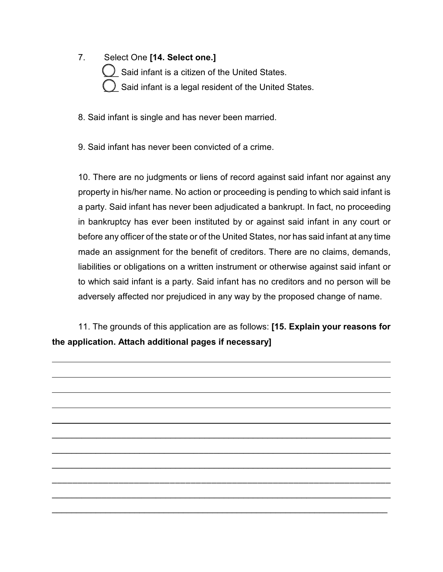7. Select One **[14. Select one.]**

 $\bigcup$  Said infant is a citizen of the United States. Said infant is a legal resident of the United States.

8. Said infant is single and has never been married.

9. Said infant has never been convicted of a crime.

10. There are no judgments or liens of record against said infant nor against any property in his/her name. No action or proceeding is pending to which said infant is a party. Said infant has never been adjudicated a bankrupt. In fact, no proceeding in bankruptcy has ever been instituted by or against said infant in any court or before any officer of the state or of the United States, nor has said infant at any time made an assignment for the benefit of creditors. There are no claims, demands, liabilities or obligations on a written instrument or otherwise against said infant or to which said infant is a party. Said infant has no creditors and no person will be adversely affected nor prejudiced in any way by the proposed change of name.

11. The grounds of this application are as follows: **[15. Explain your reasons for the application. Attach additional pages if necessary]**

 $\overline{a_1}$  , and the contribution of the contribution of the contribution of the contribution of the contribution of the contribution of the contribution of the contribution of the contribution of the contribution of the

 $\overline{\phantom{a}}$  , and the contribution of the contribution of the contribution of the contribution of the contribution of the contribution of the contribution of the contribution of the contribution of the contribution of the

 $\mathcal{L}_\mathcal{L} = \{ \mathcal{L}_\mathcal{L} = \{ \mathcal{L}_\mathcal{L} = \{ \mathcal{L}_\mathcal{L} = \{ \mathcal{L}_\mathcal{L} = \{ \mathcal{L}_\mathcal{L} = \{ \mathcal{L}_\mathcal{L} = \{ \mathcal{L}_\mathcal{L} = \{ \mathcal{L}_\mathcal{L} = \{ \mathcal{L}_\mathcal{L} = \{ \mathcal{L}_\mathcal{L} = \{ \mathcal{L}_\mathcal{L} = \{ \mathcal{L}_\mathcal{L} = \{ \mathcal{L}_\mathcal{L} = \{ \mathcal{L}_\mathcal{$ 

\_\_\_\_\_\_\_\_\_\_\_\_\_\_\_\_\_\_\_\_\_\_\_\_\_\_\_\_\_\_\_\_\_\_\_\_\_\_\_\_\_\_\_\_\_\_\_\_\_\_\_\_\_\_\_\_\_\_\_\_\_\_\_\_\_\_

 $\overline{a_1}$  , and the contribution of the contribution of the contribution of the contribution of the contribution of the contribution of the contribution of the contribution of the contribution of the contribution of the

\_\_\_\_\_\_\_\_\_\_\_\_\_\_\_\_\_\_\_\_\_\_\_\_\_\_\_\_\_\_\_\_\_\_\_\_\_\_\_\_\_\_\_\_\_\_\_\_\_\_\_\_\_\_\_\_\_\_\_\_\_\_\_\_\_\_\_\_\_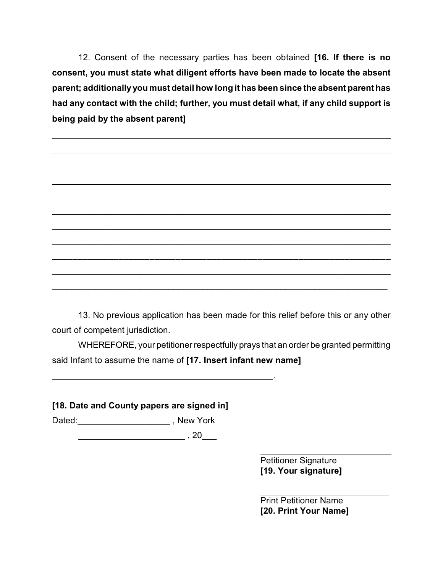12. Consent of the necessary parties has been obtained **[16. If there is no consent, you must state what diligent efforts have been made to locate the absent parent; additionally you must detail how long it has been since the absent parent has had any contact with the child; further, you must detail what, if any child support is being paid by the absent parent]**

13. No previous application has been made for this relief before this or any other court of competent jurisdiction.

\_\_\_\_\_\_\_\_\_\_\_\_\_\_\_\_\_\_\_\_\_\_\_\_\_\_\_\_\_\_\_\_\_\_\_\_\_\_\_\_\_\_\_\_\_\_\_\_\_\_\_\_\_\_\_\_\_\_\_\_\_\_\_\_\_\_\_\_\_

 $\overline{a_1}$  , and the contribution of the contribution of the contribution of the contribution of the contribution of the contribution of the contribution of the contribution of the contribution of the contribution of the

 $\mathcal{L}_\text{max}$  , and the contribution of the contribution of the contribution of the contribution of the contribution of the contribution of the contribution of the contribution of the contribution of the contribution of t

 $\overline{\phantom{a}}$  , and the contract of the contract of the contract of the contract of the contract of the contract of the contract of the contract of the contract of the contract of the contract of the contract of the contrac

\_\_\_\_\_\_\_\_\_\_\_\_\_\_\_\_\_\_\_\_\_\_\_\_\_\_\_\_\_\_\_\_\_\_\_\_\_\_\_\_\_\_\_\_\_\_\_\_\_\_\_\_\_\_\_\_\_\_\_\_\_\_\_\_\_\_\_\_\_

\_\_\_\_\_\_\_\_\_\_\_\_\_\_\_\_\_\_\_\_\_\_\_\_\_\_\_\_\_\_\_\_\_\_\_\_\_\_\_\_\_\_\_\_\_\_\_\_\_\_\_\_\_\_\_\_\_\_\_\_\_\_\_\_\_\_\_\_\_

WHEREFORE, your petitioner respectfully prays that an order be granted permitting said Infant to assume the name of **[17. Insert infant new name]**

**[18. Date and County papers are signed in]**

Dated: \_\_\_\_\_\_\_\_\_\_\_\_\_\_\_\_\_\_\_\_\_\_\_\_\_\_\_, New York

 $\,$ , 20 $\,$ 

<u>. Andreas Andreas Andreas Andreas Andreas Andreas Andreas Andreas Andreas Andreas Andreas Andreas Andreas And</u>

l Petitioner Signature **[19. Your signature]**

l Print Petitioner Name **[20. Print Your Name]**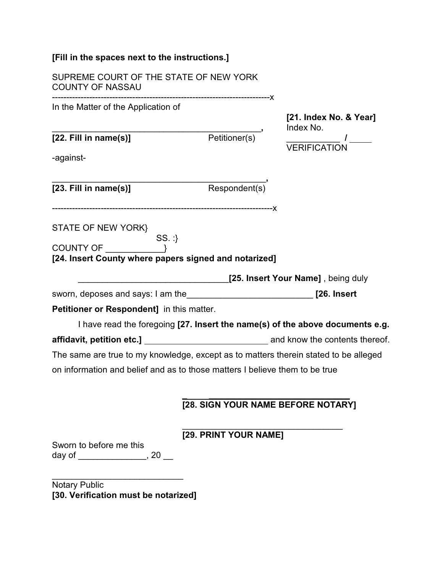| [Fill in the spaces next to the instructions.]                                         |                                    |                                     |
|----------------------------------------------------------------------------------------|------------------------------------|-------------------------------------|
| SUPREME COURT OF THE STATE OF NEW YORK<br><b>COUNTY OF NASSAU</b>                      |                                    |                                     |
| In the Matter of the Application of                                                    |                                    | [21. Index No. & Year]<br>Index No. |
| $[22.$ Fill in name $(s)]$<br>-against-                                                | Petitioner(s) <sup></sup>          | /<br>VERIFICATION                   |
| $[23.$ Fill in name $(s)]$                                                             | Respondent(s)                      |                                     |
| STATE OF NEW YORK}<br>$SS.$ :<br>[24. Insert County where papers signed and notarized] |                                    |                                     |
|                                                                                        |                                    | [25. Insert Your Name], being duly  |
|                                                                                        |                                    |                                     |
| <b>Petitioner or Respondent]</b> in this matter.                                       |                                    |                                     |
| I have read the foregoing [27. Insert the name(s) of the above documents e.g.          |                                    |                                     |
|                                                                                        |                                    |                                     |
| The same are true to my knowledge, except as to matters therein stated to be alleged   |                                    |                                     |
| on information and belief and as to those matters I believe them to be true            |                                    |                                     |
|                                                                                        | [28. SIGN YOUR NAME BEFORE NOTARY] |                                     |
| Sworn to before me this<br>day of _____________________, 20 ___                        | [29. PRINT YOUR NAME]              |                                     |

Notary Public **[30. Verification must be notarized]**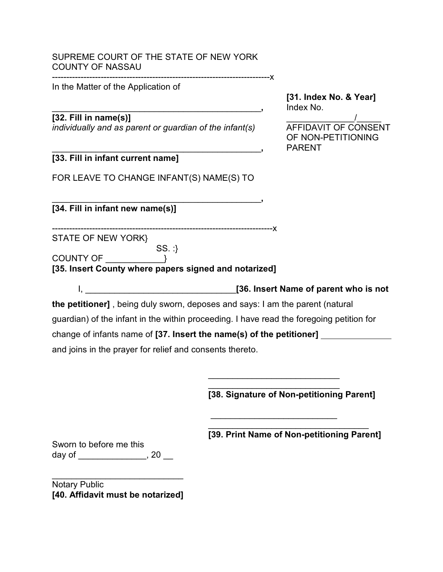#### SUPREME COURT OF THE STATE OF NEW YORK COUNTY OF NASSAU ----------------------------------------------------------------------------x

In the Matter of the Application of

**[31. Index No. & Year]** \_\_\_\_\_\_\_\_\_\_\_\_\_\_\_\_\_\_\_\_\_\_\_\_\_\_\_\_\_\_\_\_\_\_\_\_\_\_\_\_\_\_\_**,** Index No.

**[32. Fill in name(s)]**<br> *individually and as parent or quardian of the infant(s)* <br> **AFFIDAVIT OF CONSENT** *individually and as parent or guardian of the infant(s)* 

OF NON-PETITIONING \_\_\_\_\_\_\_\_\_\_\_\_\_\_\_\_\_\_\_\_\_\_\_\_\_\_\_\_\_\_\_\_\_\_\_\_\_\_\_\_\_\_\_**,** PARENT

**[33. Fill in infant current name]**

FOR LEAVE TO CHANGE INFANT(S) NAME(S) TO

\_\_\_\_\_\_\_\_\_\_\_\_\_\_\_\_\_\_\_\_\_\_\_\_\_\_\_\_\_\_\_\_\_\_\_\_\_\_\_\_\_\_\_**, [34. Fill in infant new name(s)]** 

-----------------------------------------------------------------------------x

STATE OF NEW YORK}

SS. :} COUNTY OF \_\_\_\_\_\_\_\_\_\_\_\_}

**[35. Insert County where papers signed and notarized]**

I, \_\_\_\_\_\_\_\_\_\_\_\_\_\_\_\_\_\_\_\_\_\_\_\_\_\_\_\_\_\_\_**[36. Insert Name of parent who is not**

**the petitioner]** , being duly sworn, deposes and says: I am the parent (natural guardian) of the infant in the within proceeding. I have read the foregoing petition for change of infants name of **[37. Insert the name(s) of the petitioner]**  and joins in the prayer for relief and consents thereto.

> \_\_\_\_\_\_\_\_\_\_\_\_\_\_\_\_\_\_\_\_\_\_\_\_\_\_\_ **[38. Signature of Non-petitioning Parent]**

\_\_\_\_\_\_\_\_\_\_\_\_\_\_\_\_\_\_\_\_\_\_\_\_\_\_\_

 $\overline{\phantom{a}}$  , which is a set of the set of the set of the set of the set of the set of the set of the set of the set of the set of the set of the set of the set of the set of the set of the set of the set of the set of th

\_\_\_\_\_\_\_\_\_\_\_\_\_\_\_\_\_\_\_\_\_\_\_\_\_\_\_\_\_\_\_\_\_ **[39. Print Name of Non-petitioning Parent]**

Sworn to before me this day of \_\_\_\_\_\_\_\_\_\_\_\_\_\_\_, 20 \_\_

Notary Public **[40. Affidavit must be notarized]**

\_\_\_\_\_\_\_\_\_\_\_\_\_\_\_\_\_\_\_\_\_\_\_\_\_\_\_